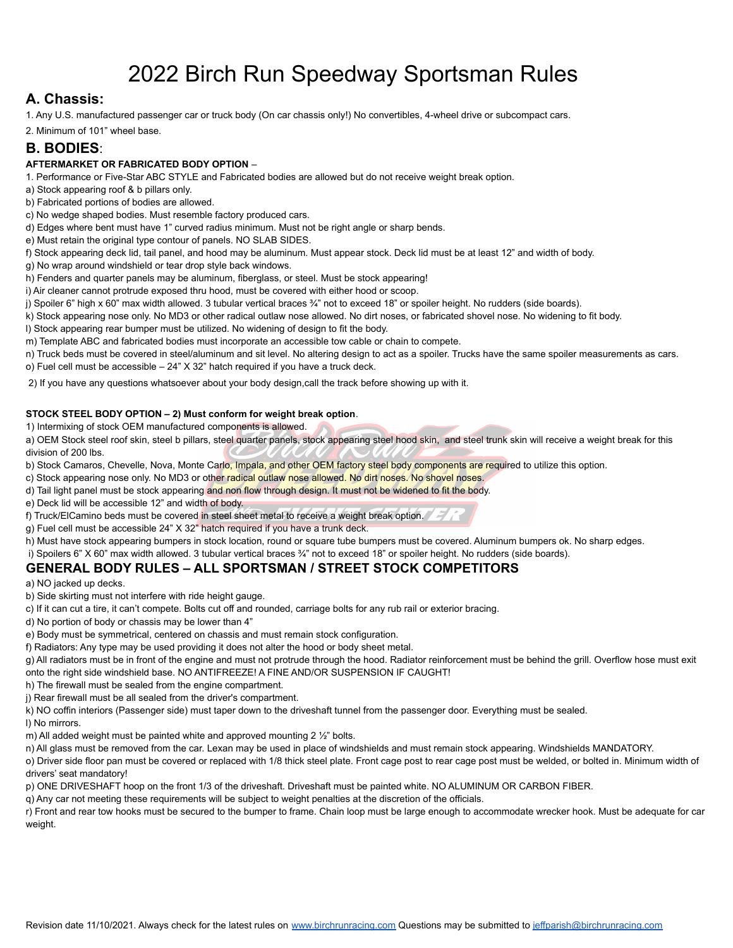# 2022 Birch Run Speedway Sportsman Rules

# **A. Chassis:**

1. Any U.S. manufactured passenger car or truck body (On car chassis only!) No convertibles, 4-wheel drive or subcompact cars.

2. Minimum of 101" wheel base.

## **B. BODIES**:

#### **AFTERMARKET OR FABRICATED BODY OPTION** –

1. Performance or Five-Star ABC STYLE and Fabricated bodies are allowed but do not receive weight break option.

a) Stock appearing roof & b pillars only.

b) Fabricated portions of bodies are allowed.

c) No wedge shaped bodies. Must resemble factory produced cars.

d) Edges where bent must have 1" curved radius minimum. Must not be right angle or sharp bends.

e) Must retain the original type contour of panels. NO SLAB SIDES.

f) Stock appearing deck lid, tail panel, and hood may be aluminum. Must appear stock. Deck lid must be at least 12" and width of body.

g) No wrap around windshield or tear drop style back windows.

h) Fenders and quarter panels may be aluminum, fiberglass, or steel. Must be stock appearing!

i) Air cleaner cannot protrude exposed thru hood, must be covered with either hood or scoop.

j) Spoiler 6" high x 60" max width allowed. 3 tubular vertical braces ¾" not to exceed 18" or spoiler height. No rudders (side boards).

k) Stock appearing nose only. No MD3 or other radical outlaw nose allowed. No dirt noses, or fabricated shovel nose. No widening to fit body.

l) Stock appearing rear bumper must be utilized. No widening of design to fit the body.

m) Template ABC and fabricated bodies must incorporate an accessible tow cable or chain to compete.

n) Truck beds must be covered in steel/aluminum and sit level. No altering design to act as a spoiler. Trucks have the same spoiler measurements as cars. o) Fuel cell must be accessible – 24" X 32" hatch required if you have a truck deck.

2) If you have any questions whatsoever about your body design,call the track before showing up with it.

#### **STOCK STEEL BODY OPTION – 2) Must conform for weight break option**.

1) Intermixing of stock OEM manufactured components is allowed.

a) OEM Stock steel roof skin, steel b pillars, steel quarter panels, stock appearing steel hood skin, and steel trunk skin will receive a weight break for this division of 200 lbs.

b) Stock Camaros, Chevelle, Nova, Monte Carlo, Impala, and other OEM factory steel body components are required to utilize this option.

c) Stock appearing nose only. No MD3 or other radical outlaw nose allowed. No dirt noses. No shovel noses.

d) Tail light panel must be stock appearing and non flow through design. It must not be widened to fit the body.

e) Deck lid will be accessible 12" and width of body.

f) Truck/ElCamino beds must be covered in steel sheet metal to receive a weight break option.

g) Fuel cell must be accessible 24" X 32" hatch required if you have a trunk deck.

h) Must have stock appearing bumpers in stock location, round or square tube bumpers must be covered. Aluminum bumpers ok. No sharp edges.

i) Spoilers 6" X 60" max width allowed. 3 tubular vertical braces ¾" not to exceed 18" or spoiler height. No rudders (side boards).

### **GENERAL BODY RULES – ALL SPORTSMAN / STREET STOCK COMPETITORS**

a) NO jacked up decks.

b) Side skirting must not interfere with ride height gauge.

c) If it can cut a tire, it can't compete. Bolts cut off and rounded, carriage bolts for any rub rail or exterior bracing.

d) No portion of body or chassis may be lower than 4"

e) Body must be symmetrical, centered on chassis and must remain stock configuration.

f) Radiators: Any type may be used providing it does not alter the hood or body sheet metal.

g) All radiators must be in front of the engine and must not protrude through the hood. Radiator reinforcement must be behind the grill. Overflow hose must exit onto the right side windshield base. NO ANTIFREEZE! A FINE AND/OR SUSPENSION IF CAUGHT!

h) The firewall must be sealed from the engine compartment.

j) Rear firewall must be all sealed from the driver's compartment.

k) NO coffin interiors (Passenger side) must taper down to the driveshaft tunnel from the passenger door. Everything must be sealed.

l) No mirrors.

m) All added weight must be painted white and approved mounting 2 ½" bolts.

n) All glass must be removed from the car. Lexan may be used in place of windshields and must remain stock appearing. Windshields MANDATORY.

o) Driver side floor pan must be covered or replaced with 1/8 thick steel plate. Front cage post to rear cage post must be welded, or bolted in. Minimum width of drivers' seat mandatory!

p) ONE DRIVESHAFT hoop on the front 1/3 of the driveshaft. Driveshaft must be painted white. NO ALUMINUM OR CARBON FIBER.

q) Any car not meeting these requirements will be subject to weight penalties at the discretion of the officials.

r) Front and rear tow hooks must be secured to the bumper to frame. Chain loop must be large enough to accommodate wrecker hook. Must be adequate for car weight.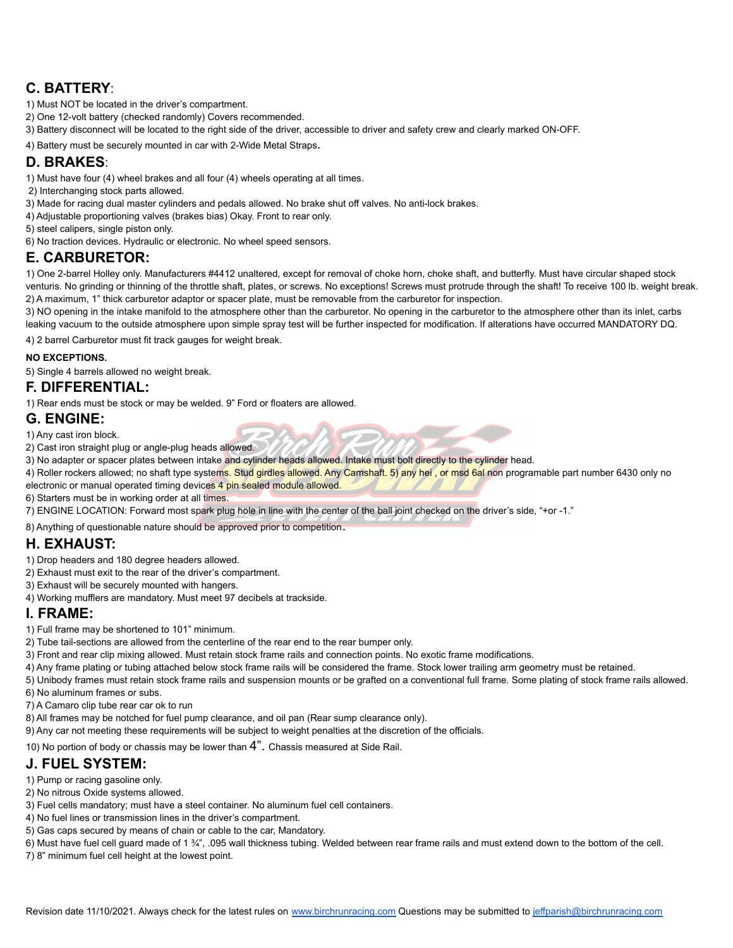# **C. BATTERY**:

- 1) Must NOT be located in the driver's compartment.
- 2) One 12-volt battery (checked randomly) Covers recommended.
- 3) Battery disconnect will be located to the right side of the driver, accessible to driver and safety crew and clearly marked ON-OFF.
- 4) Battery must be securely mounted in car with 2-Wide Metal Straps.

## **D. BRAKES**:

- 1) Must have four (4) wheel brakes and all four (4) wheels operating at all times.
- 2) Interchanging stock parts allowed.
- 3) Made for racing dual master cylinders and pedals allowed. No brake shut off valves. No anti-lock brakes.
- 4) Adjustable proportioning valves (brakes bias) Okay. Front to rear only.
- 5) steel calipers, single piston only.
- 6) No traction devices. Hydraulic or electronic. No wheel speed sensors.

## **E. CARBURETOR:**

1) One 2-barrel Holley only. Manufacturers #4412 unaltered, except for removal of choke horn, choke shaft, and butterfly. Must have circular shaped stock venturis. No grinding or thinning of the throttle shaft, plates, or screws. No exceptions! Screws must protrude through the shaft! To receive 100 lb. weight break. 2) A maximum, 1" thick carburetor adaptor or spacer plate, must be removable from the carburetor for inspection.

3) NO opening in the intake manifold to the atmosphere other than the carburetor. No opening in the carburetor to the atmosphere other than its inlet, carbs leaking vacuum to the outside atmosphere upon simple spray test will be further inspected for modification. If alterations have occurred MANDATORY DQ.

4) 2 barrel Carburetor must fit track gauges for weight break.

#### **NO EXCEPTIONS.**

5) Single 4 barrels allowed no weight break.

#### **F. DIFFERENTIAL:**

1) Rear ends must be stock or may be welded. 9" Ford or floaters are allowed.

#### **G. ENGINE:**

1) Any cast iron block.

- 2) Cast iron straight plug or angle-plug heads allowed.
- 3) No adapter or spacer plates between intake and cylinder heads allowed. Intake must bolt directly to the cylinder head.
- 4) Roller rockers allowed; no shaft type systems. Stud girdles allowed. Any Camshaft. 5) any hei, or msd 6al non programable part number 6430 only no electronic or manual operated timing devices 4 pin sealed module allowed.
- 6) Starters must be in working order at all times.
- 7) ENGINE LOCATION: Forward most spark plug hole in line with the center of the ball joint checked on the driver's side, "+or -1."

8) Anything of questionable nature should be approved prior to competition.

## **H. EXHAUST:**

- 1) Drop headers and 180 degree headers allowed.
- 2) Exhaust must exit to the rear of the driver's compartment.
- 3) Exhaust will be securely mounted with hangers.
- 4) Working mufflers are mandatory. Must meet 97 decibels at trackside.

## **I. FRAME:**

1) Full frame may be shortened to 101" minimum.

- 2) Tube tail-sections are allowed from the centerline of the rear end to the rear bumper only.
- 3) Front and rear clip mixing allowed. Must retain stock frame rails and connection points. No exotic frame modifications.
- 4) Any frame plating or tubing attached below stock frame rails will be considered the frame. Stock lower trailing arm geometry must be retained.
- 5) Unibody frames must retain stock frame rails and suspension mounts or be grafted on a conventional full frame. Some plating of stock frame rails allowed.
- 6) No aluminum frames or subs.
- 7) A Camaro clip tube rear car ok to run
- 8) All frames may be notched for fuel pump clearance, and oil pan (Rear sump clearance only).
- 9) Any car not meeting these requirements will be subject to weight penalties at the discretion of the officials.

10) No portion of body or chassis may be lower than  $4$ ". Chassis measured at Side Rail.

# **J. FUEL SYSTEM:**

- 1) Pump or racing gasoline only.
- 2) No nitrous Oxide systems allowed.
- 3) Fuel cells mandatory; must have a steel container. No aluminum fuel cell containers.
- 4) No fuel lines or transmission lines in the driver's compartment.
- 5) Gas caps secured by means of chain or cable to the car, Mandatory.
- 6) Must have fuel cell guard made of 1 34", .095 wall thickness tubing. Welded between rear frame rails and must extend down to the bottom of the cell.
- 7) 8" minimum fuel cell height at the lowest point.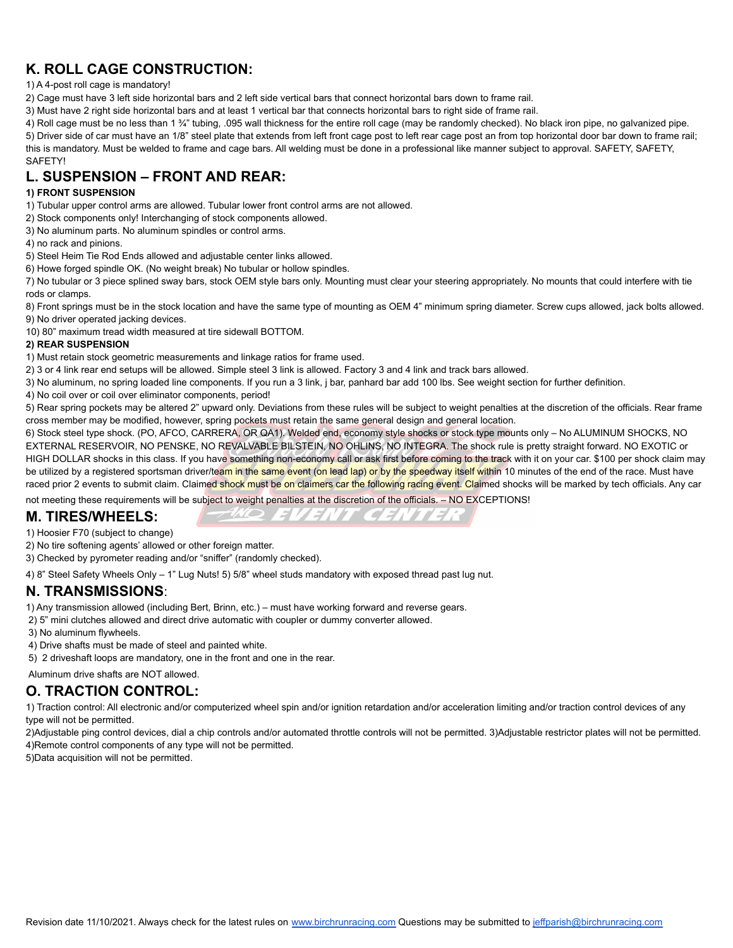# **K. ROLL CAGE CONSTRUCTION:**

#### 1) A 4-post roll cage is mandatory!

2) Cage must have 3 left side horizontal bars and 2 left side vertical bars that connect horizontal bars down to frame rail.

3) Must have 2 right side horizontal bars and at least 1 vertical bar that connects horizontal bars to right side of frame rail.

4) Roll cage must be no less than 1 ¾" tubing, .095 wall thickness for the entire roll cage (may be randomly checked). No black iron pipe, no galvanized pipe. 5) Driver side of car must have an 1/8" steel plate that extends from left front cage post to left rear cage post an from top horizontal door bar down to frame rail; this is mandatory. Must be welded to frame and cage bars. All welding must be done in a professional like manner subject to approval. SAFETY, SAFETY,

# **L. SUSPENSION – FRONT AND REAR:**

#### **1) FRONT SUSPENSION**

SAFETY!

1) Tubular upper control arms are allowed. Tubular lower front control arms are not allowed.

- 2) Stock components only! Interchanging of stock components allowed.
- 3) No aluminum parts. No aluminum spindles or control arms.
- 4) no rack and pinions.
- 5) Steel Heim Tie Rod Ends allowed and adjustable center links allowed.
- 6) Howe forged spindle OK. (No weight break) No tubular or hollow spindles.

7) No tubular or 3 piece splined sway bars, stock OEM style bars only. Mounting must clear your steering appropriately. No mounts that could interfere with tie rods or clamps.

8) Front springs must be in the stock location and have the same type of mounting as OEM 4" minimum spring diameter. Screw cups allowed, jack bolts allowed. 9) No driver operated jacking devices.

10) 80" maximum tread width measured at tire sidewall BOTTOM.

#### **2) REAR SUSPENSION**

1) Must retain stock geometric measurements and linkage ratios for frame used.

2) 3 or 4 link rear end setups will be allowed. Simple steel 3 link is allowed. Factory 3 and 4 link and track bars allowed.

- 3) No aluminum, no spring loaded line components. If you run a 3 link, j bar, panhard bar add 100 lbs. See weight section for further definition.
- 4) No coil over or coil over eliminator components, period!

5) Rear spring pockets may be altered 2" upward only. Deviations from these rules will be subject to weight penalties at the discretion of the officials. Rear frame cross member may be modified, however, spring pockets must retain the same general design and general location.

6) Stock steel type shock. (PO, AFCO, CARRERA, OR QA1). Welded end, economy style shocks or stock type mounts only – No ALUMINUM SHOCKS, NO EXTERNAL RESERVOIR, NO PENSKE, NO REVALVABLE BILSTEIN, NO OHLINS, NO INTEGRA. The shock rule is pretty straight forward. NO EXOTIC or HIGH DOLLAR shocks in this class. If you have something non-economy call or ask first before coming to the track with it on your car. \$100 per shock claim may be utilized by a registered sportsman driver/team in the same event (on lead lap) or by the speedway itself within 10 minutes of the end of the race. Must have raced prior 2 events to submit claim. Claimed shock must be on claimers car the following racing event. Claimed shocks will be marked by tech officials. Any car

FWQ EVENT CENTER

not meeting these requirements will be subject to weight penalties at the discretion of the officials. – NO EXCEPTIONS!

## **M. TIRES/WHEELS:**



- 2) No tire softening agents' allowed or other foreign matter.
- 3) Checked by pyrometer reading and/or "sniffer" (randomly checked).

4) 8" Steel Safety Wheels Only – 1" Lug Nuts! 5) 5/8" wheel studs mandatory with exposed thread past lug nut.

#### **N. TRANSMISSIONS**:

- 1) Any transmission allowed (including Bert, Brinn, etc.) must have working forward and reverse gears.
- 2) 5" mini clutches allowed and direct drive automatic with coupler or dummy converter allowed.
- 3) No aluminum flywheels.
- 4) Drive shafts must be made of steel and painted white.
- 5) 2 driveshaft loops are mandatory, one in the front and one in the rear.

Aluminum drive shafts are NOT allowed.

# **O. TRACTION CONTROL:**

1) Traction control: All electronic and/or computerized wheel spin and/or ignition retardation and/or acceleration limiting and/or traction control devices of any type will not be permitted.

2)Adjustable ping control devices, dial a chip controls and/or automated throttle controls will not be permitted. 3)Adjustable restrictor plates will not be permitted. 4)Remote control components of any type will not be permitted.

5)Data acquisition will not be permitted.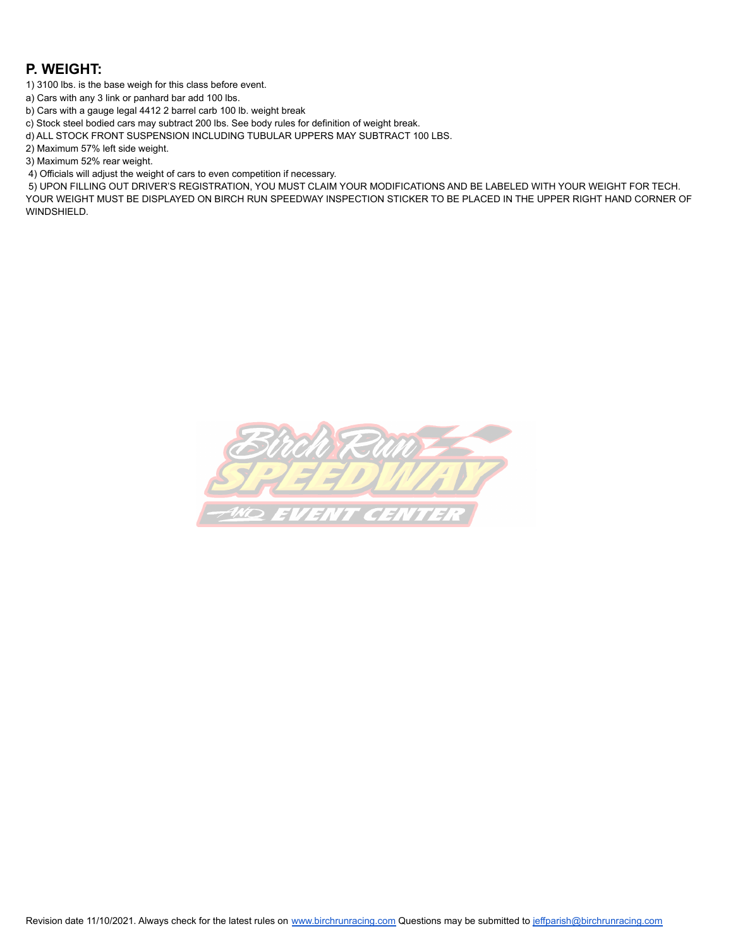## **P. WEIGHT:**

1) 3100 lbs. is the base weigh for this class before event.

a) Cars with any 3 link or panhard bar add 100 lbs.

b) Cars with a gauge legal 4412 2 barrel carb 100 lb. weight break

c) Stock steel bodied cars may subtract 200 lbs. See body rules for definition of weight break.

d) ALL STOCK FRONT SUSPENSION INCLUDING TUBULAR UPPERS MAY SUBTRACT 100 LBS.

2) Maximum 57% left side weight.

3) Maximum 52% rear weight.

4) Officials will adjust the weight of cars to even competition if necessary.

5) UPON FILLING OUT DRIVER'S REGISTRATION, YOU MUST CLAIM YOUR MODIFICATIONS AND BE LABELED WITH YOUR WEIGHT FOR TECH. YOUR WEIGHT MUST BE DISPLAYED ON BIRCH RUN SPEEDWAY INSPECTION STICKER TO BE PLACED IN THE UPPER RIGHT HAND CORNER OF WINDSHIELD.